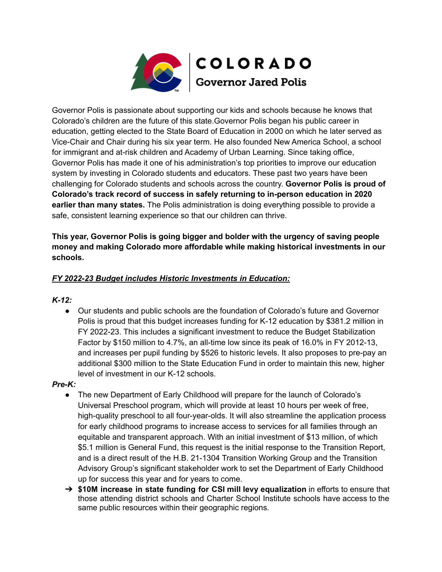

Governor Polis is passionate about supporting our kids and schools because he knows that Colorado's children are the future of this state.Governor Polis began his public career in education, getting elected to the State Board of Education in 2000 on which he later served as Vice-Chair and Chair during his six year term. He also founded New America School, a school for immigrant and at-risk children and Academy of Urban Learning. Since taking office, Governor Polis has made it one of his administration's top priorities to improve our education system by investing in Colorado students and educators. These past two years have been challenging for Colorado students and schools across the country. **Governor Polis is proud of Colorado's track record of success in safely returning to in-person education in 2020 earlier than many states.** The Polis administration is doing everything possible to provide a safe, consistent learning experience so that our children can thrive.

**This year, Governor Polis is going bigger and bolder with the urgency of saving people money and making Colorado more affordable while making historical investments in our schools.**

# *FY 2022-23 Budget includes Historic Investments in Education:*

### *K-12:*

● Our students and public schools are the foundation of Colorado's future and Governor Polis is proud that this budget increases funding for K-12 education by \$381.2 million in FY 2022-23. This includes a significant investment to reduce the Budget Stabilization Factor by \$150 million to 4.7%, an all-time low since its peak of 16.0% in FY 2012-13, and increases per pupil funding by \$526 to historic levels. It also proposes to pre-pay an additional \$300 million to the State Education Fund in order to maintain this new, higher level of investment in our K-12 schools.

### *Pre-K:*

- The new Department of Early Childhood will prepare for the launch of Colorado's Universal Preschool program, which will provide at least 10 hours per week of free, high-quality preschool to all four-year-olds. It will also streamline the application process for early childhood programs to increase access to services for all families through an equitable and transparent approach. With an initial investment of \$13 million, of which \$5.1 million is General Fund, this request is the initial response to the Transition Report, and is a direct result of the H.B. 21-1304 Transition Working Group and the Transition Advisory Group's significant stakeholder work to set the Department of Early Childhood up for success this year and for years to come.
- ➔ **\$10M increase in state funding for CSI mill levy equalization** in efforts to ensure that those attending district schools and Charter School Institute schools have access to the same public resources within their geographic regions.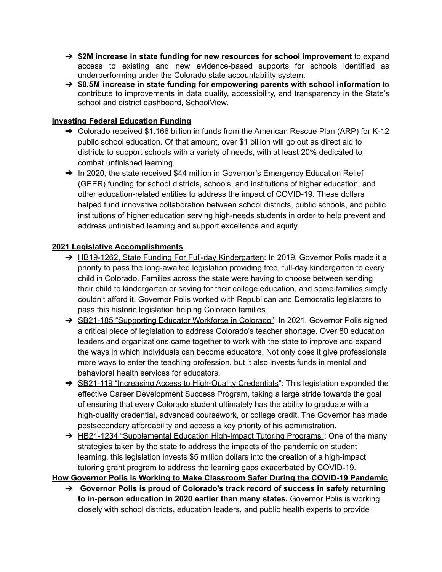- ➔ **\$2M increase in state funding for new resources for school improvement** to expand access to existing and new evidence-based supports for schools identified as underperforming under the Colorado state accountability system.
- ➔ **\$0.5M increase in state funding for empowering parents with school information** to contribute to improvements in data quality, accessibility, and transparency in the State's school and district dashboard, SchoolView.

## **Investing Federal Education Funding**

- ➔ Colorado received \$1.166 billion in funds from the American Rescue Plan (ARP) for K-12 public school education. Of that amount, over \$1 billion will go out as direct aid to districts to support schools with a variety of needs, with at least 20% dedicated to combat unfinished learning.
- → In 2020, the state received \$44 million in Governor's Emergency Education Relief (GEER) funding for school districts, schools, and institutions of higher education, and other education-related entities to address the impact of COVID-19. These dollars helped fund innovative collaboration between school districts, public schools, and public institutions of higher education serving high-needs students in order to help prevent and address unfinished learning and support excellence and equity.

# **2021 Legislative Accomplishments**

- → HB19-1262, State Funding For Full-day Kindergarten: In 2019, Governor Polis made it a priority to pass the long-awaited legislation providing free, full-day kindergarten to every child in Colorado. Families across the state were having to choose between sending their child to kindergarten or saving for their college education, and some families simply couldn't afford it. Governor Polis worked with Republican and Democratic legislators to pass this historic legislation helping Colorado families.
- → SB21-185 "Supporting Educator Workforce in Colorado": In 2021, Governor Polis signed a critical piece of legislation to address Colorado's teacher shortage. Over 80 education leaders and organizations came together to work with the state to improve and expand the ways in which individuals can become educators. Not only does it give professionals more ways to enter the teaching profession, but it also invests funds in mental and behavioral health services for educators.
- → SB21-119 "Increasing Access to High-Quality Credentials": This legislation expanded the effective Career Development Success Program, taking a large stride towards the goal of ensuring that every Colorado student ultimately has the ability to graduate with a high-quality credential, advanced coursework, or college credit. The Governor has made postsecondary affordability and access a key priority of his administration.
- → HB21-1234 "Supplemental Education High-Impact Tutoring Programs": One of the many strategies taken by the state to address the impacts of the pandemic on student learning, this legislation invests \$5 million dollars into the creation of a high-impact tutoring grant program to address the learning gaps exacerbated by COVID-19.

**How Governor Polis is Working to Make Classroom Safer During the COVID-19 Pandemic**

➔ **Governor Polis is proud of Colorado's track record of success in safely returning to in-person education in 2020 earlier than many states.** Governor Polis is working closely with school districts, education leaders, and public health experts to provide